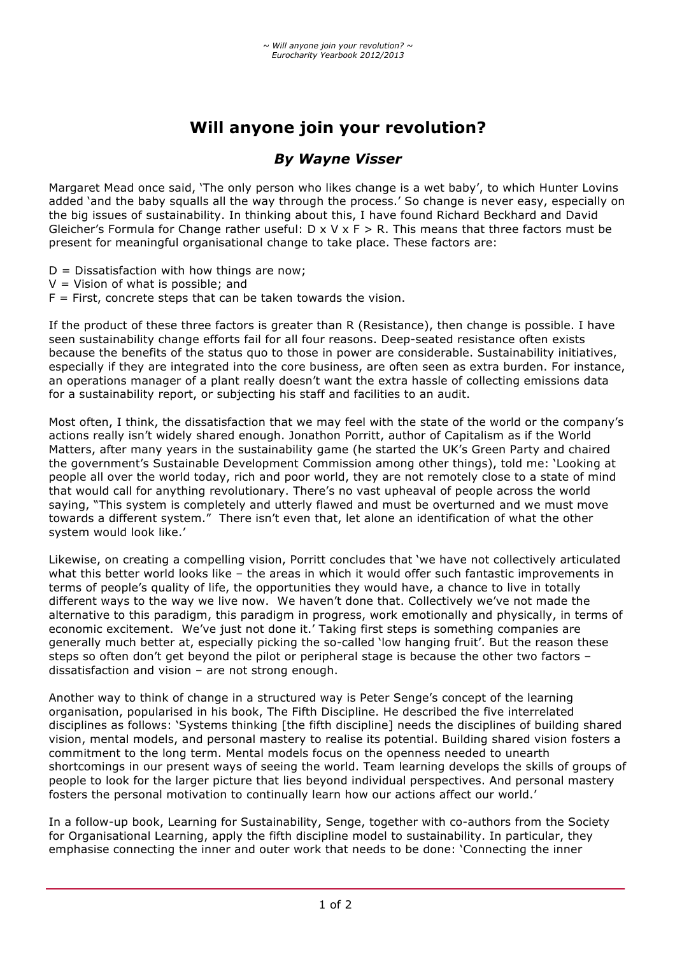# **Will anyone join your revolution?**

## *By Wayne Visser*

Margaret Mead once said, 'The only person who likes change is a wet baby', to which Hunter Lovins added 'and the baby squalls all the way through the process.' So change is never easy, especially on the big issues of sustainability. In thinking about this, I have found Richard Beckhard and David Gleicher's Formula for Change rather useful:  $D \times V \times F \ge R$ . This means that three factors must be present for meaningful organisational change to take place. These factors are:

- $D =$  Dissatisfaction with how things are now;
- $V =$  Vision of what is possible; and
- $F =$  First, concrete steps that can be taken towards the vision.

If the product of these three factors is greater than R (Resistance), then change is possible. I have seen sustainability change efforts fail for all four reasons. Deep-seated resistance often exists because the benefits of the status quo to those in power are considerable. Sustainability initiatives, especially if they are integrated into the core business, are often seen as extra burden. For instance, an operations manager of a plant really doesn't want the extra hassle of collecting emissions data for a sustainability report, or subjecting his staff and facilities to an audit.

Most often, I think, the dissatisfaction that we may feel with the state of the world or the company's actions really isn't widely shared enough. Jonathon Porritt, author of Capitalism as if the World Matters, after many years in the sustainability game (he started the UK's Green Party and chaired the government's Sustainable Development Commission among other things), told me: 'Looking at people all over the world today, rich and poor world, they are not remotely close to a state of mind that would call for anything revolutionary. There's no vast upheaval of people across the world saying, "This system is completely and utterly flawed and must be overturned and we must move towards a different system." There isn't even that, let alone an identification of what the other system would look like.'

Likewise, on creating a compelling vision, Porritt concludes that 'we have not collectively articulated what this better world looks like – the areas in which it would offer such fantastic improvements in terms of people's quality of life, the opportunities they would have, a chance to live in totally different ways to the way we live now. We haven't done that. Collectively we've not made the alternative to this paradigm, this paradigm in progress, work emotionally and physically, in terms of economic excitement. We've just not done it.' Taking first steps is something companies are generally much better at, especially picking the so-called 'low hanging fruit'. But the reason these steps so often don't get beyond the pilot or peripheral stage is because the other two factors – dissatisfaction and vision – are not strong enough.

Another way to think of change in a structured way is Peter Senge's concept of the learning organisation, popularised in his book, The Fifth Discipline. He described the five interrelated disciplines as follows: 'Systems thinking [the fifth discipline] needs the disciplines of building shared vision, mental models, and personal mastery to realise its potential. Building shared vision fosters a commitment to the long term. Mental models focus on the openness needed to unearth shortcomings in our present ways of seeing the world. Team learning develops the skills of groups of people to look for the larger picture that lies beyond individual perspectives. And personal mastery fosters the personal motivation to continually learn how our actions affect our world.'

In a follow-up book, Learning for Sustainability, Senge, together with co-authors from the Society for Organisational Learning, apply the fifth discipline model to sustainability. In particular, they emphasise connecting the inner and outer work that needs to be done: 'Connecting the inner